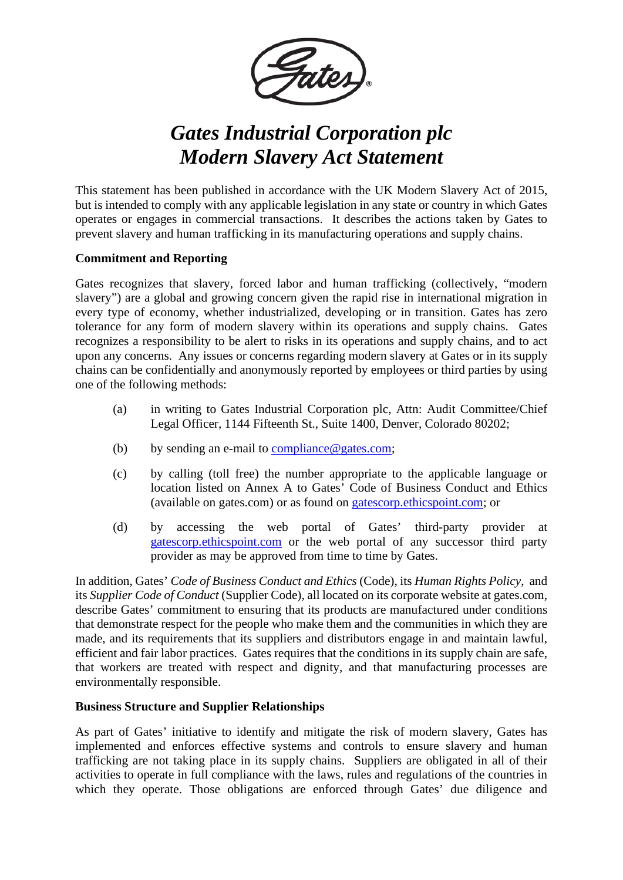

## *Gates Industrial Corporation plc Modern Slavery Act Statement*

This statement has been published in accordance with the UK Modern Slavery Act of 2015, but is intended to comply with any applicable legislation in any state or country in which Gates operates or engages in commercial transactions. It describes the actions taken by Gates to prevent slavery and human trafficking in its manufacturing operations and supply chains.

## **Commitment and Reporting**

Gates recognizes that slavery, forced labor and human trafficking (collectively, "modern slavery") are a global and growing concern given the rapid rise in international migration in every type of economy, whether industrialized, developing or in transition. Gates has zero tolerance for any form of modern slavery within its operations and supply chains. Gates recognizes a responsibility to be alert to risks in its operations and supply chains, and to act upon any concerns. Any issues or concerns regarding modern slavery at Gates or in its supply chains can be confidentially and anonymously reported by employees or third parties by using one of the following methods:

- (a) in writing to Gates Industrial Corporation plc, Attn: Audit Committee/Chief Legal Officer, 1144 Fifteenth St., Suite 1400, Denver, Colorado 80202;
- (b) by sending an e-mail to  $compliance@gates.com;$ </u>
- (c) by calling (toll free) the number appropriate to the applicable language or location listed on Annex A to Gates' Code of Business Conduct and Ethics (available on gates.com) or as found on [gatescorp.ethicspoint.com;](https://gatescorp.ethicspoint.com/) or
- (d) by accessing the web portal of Gates' third-party provider at [gatescorp.ethicspoint.com](https://gatescorp.ethicspoint.com/) or the web portal of any successor third party provider as may be approved from time to time by Gates.

In addition, Gates' *Code of Business Conduct and Ethics* (Code), its *Human Rights Policy*, and its *Supplier Code of Conduct* (Supplier Code), all located on its corporate website at gates.com, describe Gates' commitment to ensuring that its products are manufactured under conditions that demonstrate respect for the people who make them and the communities in which they are made, and its requirements that its suppliers and distributors engage in and maintain lawful, efficient and fair labor practices. Gates requires that the conditions in its supply chain are safe, that workers are treated with respect and dignity, and that manufacturing processes are environmentally responsible.

## **Business Structure and Supplier Relationships**

As part of Gates' initiative to identify and mitigate the risk of modern slavery, Gates has implemented and enforces effective systems and controls to ensure slavery and human trafficking are not taking place in its supply chains. Suppliers are obligated in all of their activities to operate in full compliance with the laws, rules and regulations of the countries in which they operate. Those obligations are enforced through Gates' due diligence and